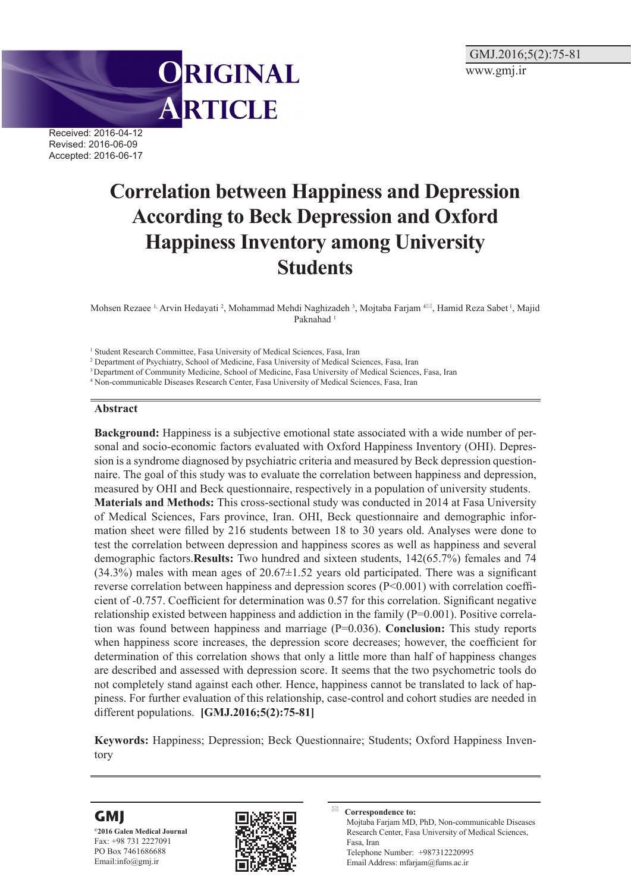

Received: 2016-04-12 Revised: 2016-06-09 Accepted: 2016-06-17

# **Correlation between Happiness and Depression According to Beck Depression and Oxford Happiness Inventory among University Students**

Mohsen Rezaee <sup>1,</sup> Arvin Hedayati <sup>2</sup>, Mohammad Mehdi Naghizadeh <sup>3</sup>, Mojtaba Farjam <sup>4⊠</sup>, Hamid Reza Sabet <sup>1</sup>, Majid Paknahad<sup>1</sup>

<sup>1</sup> Student Research Committee, Fasa University of Medical Sciences, Fasa, Iran

2 Department of Psychiatry, School of Medicine, Fasa University of Medical Sciences, Fasa, Iran

3 Department of Community Medicine, School of Medicine, Fasa University of Medical Sciences, Fasa, Iran

4 Non-communicable Diseases Research Center, Fasa University of Medical Sciences, Fasa, Iran

#### **Abstract**

**Background:** Happiness is a subjective emotional state associated with a wide number of personal and socio-economic factors evaluated with Oxford Happiness Inventory (OHI). Depression is a syndrome diagnosed by psychiatric criteria and measured by Beck depression questionnaire. The goal of this study was to evaluate the correlation between happiness and depression, measured by OHI and Beck questionnaire, respectively in a population of university students. **Materials and Methods:** This cross-sectional study was conducted in 2014 at Fasa University of Medical Sciences, Fars province, Iran. OHI, Beck questionnaire and demographic information sheet were filled by 216 students between 18 to 30 years old. Analyses were done to test the correlation between depression and happiness scores as well as happiness and several demographic factors.**Results:** Two hundred and sixteen students, 142(65.7%) females and 74  $(34.3%)$  males with mean ages of  $20.67\pm1.52$  years old participated. There was a significant reverse correlation between happiness and depression scores (P<0.001) with correlation coefficient of -0.757. Coefficient for determination was 0.57 for this correlation. Significant negative relationship existed between happiness and addiction in the family (P=0.001). Positive correlation was found between happiness and marriage (P=0.036). **Conclusion:** This study reports when happiness score increases, the depression score decreases; however, the coefficient for determination of this correlation shows that only a little more than half of happiness changes are described and assessed with depression score. It seems that the two psychometric tools do not completely stand against each other. Hence, happiness cannot be translated to lack of happiness. For further evaluation of this relationship, case-control and cohort studies are needed in different populations. **[GMJ.2016;5(2):75-81]**

**Keywords:** Happiness; Depression; Beck Questionnaire; Students; Oxford Happiness Inventory





**Correspondence to:** Mojtaba Farjam MD, PhD, Non-communicable Diseases Research Center, Fasa University of Medical Sciences, Fasa, Iran Telephone Number: +987312220995 Email Address: mfarjam@fums.ac.ir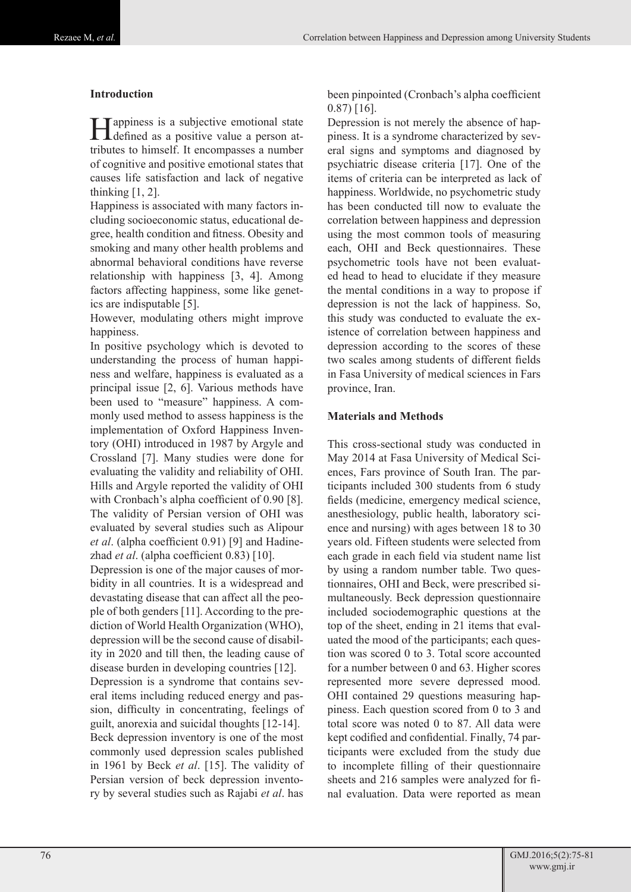## **Introduction**

Happiness is a subjective emotional state defined as a positive value a person attributes to himself. It encompasses a number of cognitive and positive emotional states that causes life satisfaction and lack of negative thinking  $[1, 2]$ .

Happiness is associated with many factors including socioeconomic status, educational degree, health condition and fitness. Obesity and smoking and many other health problems and abnormal behavioral conditions have reverse relationship with happiness [3, 4]. Among factors affecting happiness, some like genetics are indisputable [5].

However, modulating others might improve happiness.

In positive psychology which is devoted to understanding the process of human happiness and welfare, happiness is evaluated as a principal issue [2, 6]. Various methods have been used to "measure" happiness. A commonly used method to assess happiness is the implementation of Oxford Happiness Inventory (OHI) introduced in 1987 by Argyle and Crossland [7]. Many studies were done for evaluating the validity and reliability of OHI. Hills and Argyle reported the validity of OHI with Cronbach's alpha coefficient of 0.90 [8]. The validity of Persian version of OHI was evaluated by several studies such as Alipour *et al*. (alpha coefficient 0.91) [9] and Hadinezhad *et al*. (alpha coefficient 0.83) [10].

Depression is one of the major causes of morbidity in all countries. It is a widespread and devastating disease that can affect all the people of both genders [11]. According to the prediction of World Health Organization (WHO), depression will be the second cause of disability in 2020 and till then, the leading cause of disease burden in developing countries [12]. Depression is a syndrome that contains several items including reduced energy and passion, difficulty in concentrating, feelings of guilt, anorexia and suicidal thoughts [12-14]. Beck depression inventory is one of the most commonly used depression scales published in 1961 by Beck *et al*. [15]. The validity of Persian version of beck depression inventory by several studies such as Rajabi *et al*. has

been pinpointed (Cronbach's alpha coefficient 0.87) [16].

Depression is not merely the absence of happiness. It is a syndrome characterized by several signs and symptoms and diagnosed by psychiatric disease criteria [17]. One of the items of criteria can be interpreted as lack of happiness. Worldwide, no psychometric study has been conducted till now to evaluate the correlation between happiness and depression using the most common tools of measuring each, OHI and Beck questionnaires. These psychometric tools have not been evaluated head to head to elucidate if they measure the mental conditions in a way to propose if depression is not the lack of happiness. So, this study was conducted to evaluate the existence of correlation between happiness and depression according to the scores of these two scales among students of different fields in Fasa University of medical sciences in Fars province, Iran.

## **Materials and Methods**

This cross-sectional study was conducted in May 2014 at Fasa University of Medical Sciences, Fars province of South Iran. The participants included 300 students from 6 study fields (medicine, emergency medical science, anesthesiology, public health, laboratory science and nursing) with ages between 18 to 30 years old. Fifteen students were selected from each grade in each field via student name list by using a random number table. Two questionnaires, OHI and Beck, were prescribed simultaneously. Beck depression questionnaire included sociodemographic questions at the top of the sheet, ending in 21 items that evaluated the mood of the participants; each question was scored 0 to 3. Total score accounted for a number between 0 and 63. Higher scores represented more severe depressed mood. OHI contained 29 questions measuring happiness. Each question scored from 0 to 3 and total score was noted 0 to 87. All data were kept codified and confidential. Finally, 74 participants were excluded from the study due to incomplete filling of their questionnaire sheets and 216 samples were analyzed for final evaluation. Data were reported as mean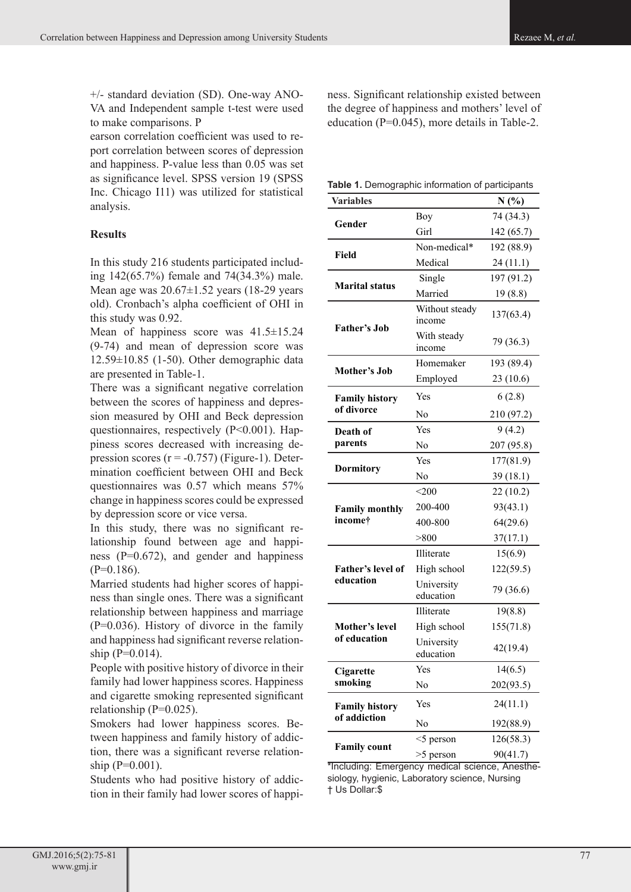+/- standard deviation (SD). One-way ANO-VA and Independent sample t-test were used to make comparisons. P

earson correlation coefficient was used to report correlation between scores of depression and happiness. P-value less than 0.05 was set as significance level. SPSS version 19 (SPSS Inc. Chicago I11) was utilized for statistical analysis.

## **Results**

In this study 216 students participated including 142(65.7%) female and 74(34.3%) male. Mean age was  $20.67 \pm 1.52$  years (18-29 years) old). Cronbach's alpha coefficient of OHI in this study was 0.92.

Mean of happiness score was  $41.5 \pm 15.24$ (9-74) and mean of depression score was  $12.59\pm10.85$  (1-50). Other demographic data are presented in Table-1.

There was a significant negative correlation between the scores of happiness and depression measured by OHI and Beck depression questionnaires, respectively (P˂0.001). Happiness scores decreased with increasing depression scores  $(r = -0.757)$  (Figure-1). Determination coefficient between OHI and Beck questionnaires was 0.57 which means 57% change in happiness scores could be expressed by depression score or vice versa.

In this study, there was no significant relationship found between age and happiness (P=0.672), and gender and happiness  $(P=0.186)$ .

Married students had higher scores of happiness than single ones. There was a significant relationship between happiness and marriage (P=0.036). History of divorce in the family and happiness had significant reverse relationship  $(P=0.014)$ .

People with positive history of divorce in their family had lower happiness scores. Happiness and cigarette smoking represented significant relationship  $(P=0.025)$ .

Smokers had lower happiness scores. Between happiness and family history of addiction, there was a significant reverse relationship  $(P=0.001)$ .

Students who had positive history of addiction in their family had lower scores of happiness. Significant relationship existed between the degree of happiness and mothers' level of education (P=0.045), more details in Table-2.

| Table 1. Demographic information of participants |  |  |
|--------------------------------------------------|--|--|
|--------------------------------------------------|--|--|

| <b>Variables</b>      |                          | N(%)       |
|-----------------------|--------------------------|------------|
| Gender                | Boy                      | 74 (34.3)  |
|                       | Girl                     | 142 (65.7) |
| Field                 | Non-medical*             | 192 (88.9) |
|                       | Medical                  | 24(11.1)   |
| <b>Marital status</b> | Single                   | 197 (91.2) |
|                       | Married                  | 19(8.8)    |
| <b>Father's Job</b>   | Without steady<br>income | 137(63.4)  |
|                       | With steady<br>income    | 79 (36.3)  |
| Mother's Job          | Homemaker                | 193 (89.4) |
|                       | Employed                 | 23(10.6)   |
| <b>Family history</b> | Yes                      | 6(2.8)     |
| of divorce            | N <sub>0</sub>           | 210 (97.2) |
| Death of              | Yes                      | 9(4.2)     |
| parents               | N <sub>0</sub>           | 207 (95.8) |
| <b>Dormitory</b>      | Yes                      | 177(81.9)  |
|                       | N <sub>0</sub>           | 39(18.1)   |
|                       | $<$ 200 $\,$             | 22(10.2)   |
| <b>Family monthly</b> | 200-400                  | 93(43.1)   |
| income†               | 400-800                  | 64(29.6)   |
|                       | > 800                    | 37(17.1)   |
|                       | Illiterate               | 15(6.9)    |
| Father's level of     | High school              | 122(59.5)  |
| education             | University<br>education  | 79 (36.6)  |
|                       | Illiterate               | 19(8.8)    |
| Mother's level        | High school              | 155(71.8)  |
| of education          | University<br>education  | 42(19.4)   |
| Cigarette             | Yes                      | 14(6.5)    |
| smoking               | No                       | 202(93.5)  |
| <b>Family history</b> | Yes                      | 24(11.1)   |
| of addiction          | N <sub>0</sub>           | 192(88.9)  |
|                       | $<$ 5 person             | 126(58.3)  |
| <b>Family count</b>   | >5 person                | 90(41.7)   |

\*Including: Emergency medical science, Anesthesiology, hygienic, Laboratory science, Nursing † Us Dollar:\$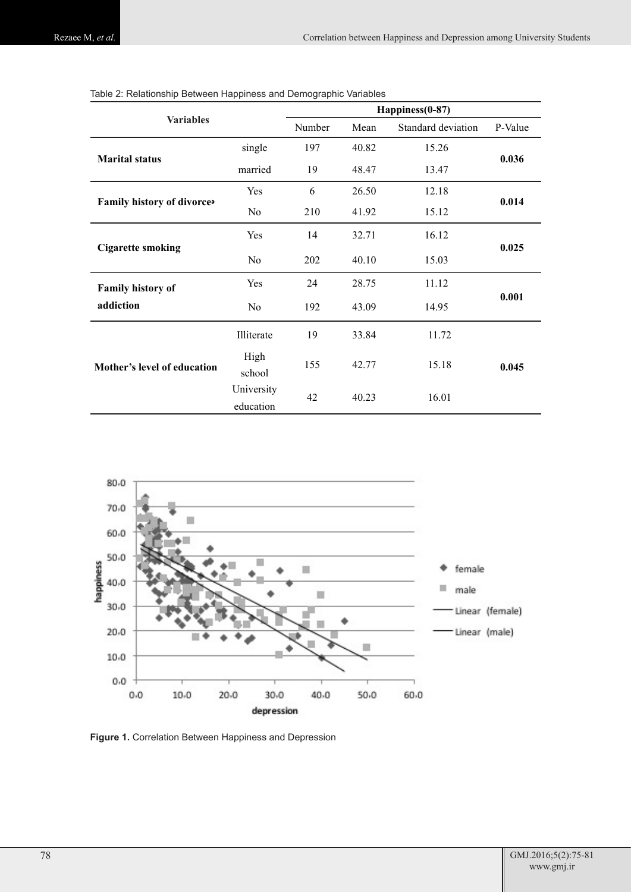| <b>Variables</b>            |                         | Happiness(0-87) |       |                    |         |
|-----------------------------|-------------------------|-----------------|-------|--------------------|---------|
|                             |                         | Number          | Mean  | Standard deviation | P-Value |
| <b>Marital status</b>       | single                  | 197             | 40.82 | 15.26              | 0.036   |
|                             | married                 | 19              | 48.47 | 13.47              |         |
| Family history of divorce   | Yes                     | 6               | 26.50 | 12.18              |         |
|                             | No                      | 210             | 41.92 | 15.12              | 0.014   |
| <b>Cigarette smoking</b>    | Yes                     | 14              | 32.71 | 16.12              |         |
|                             | N <sub>0</sub>          | 202             | 40.10 | 15.03              | 0.025   |
| Family history of           | Yes                     | 24              | 28.75 | 11.12              |         |
| addiction                   | N <sub>0</sub>          | 192             | 43.09 | 14.95              | 0.001   |
| Mother's level of education | Illiterate              | 19              | 33.84 | 11.72              |         |
|                             | High<br>school          | 155             | 42.77 | 15.18              | 0.045   |
|                             | University<br>education | 42              | 40.23 | 16.01              |         |

| Table 2: Relationship Between Happiness and Demographic Variables |  |  |
|-------------------------------------------------------------------|--|--|
|                                                                   |  |  |



**Figure 1.** Correlation Between Happiness and Depression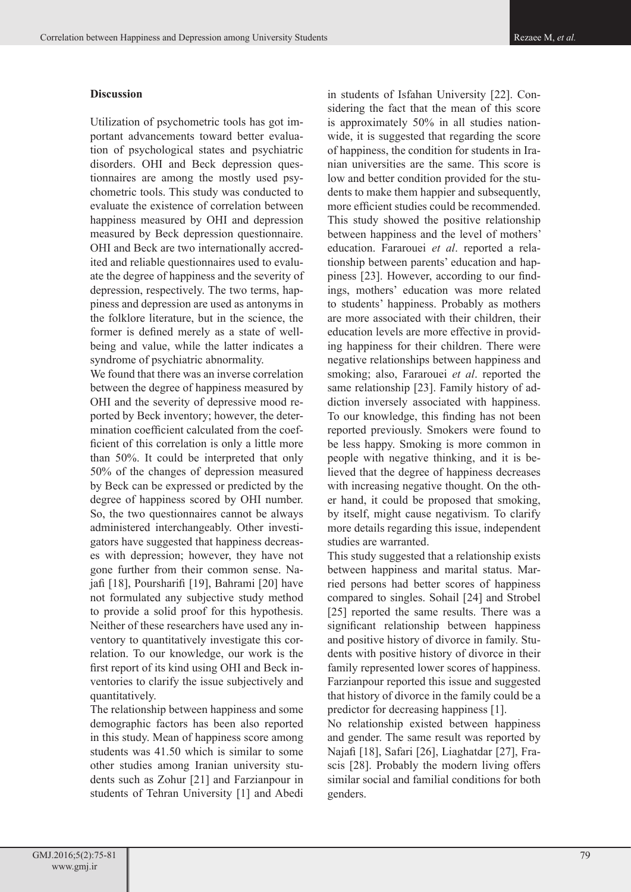## **Discussion**

Utilization of psychometric tools has got important advancements toward better evaluation of psychological states and psychiatric disorders. OHI and Beck depression questionnaires are among the mostly used psychometric tools. This study was conducted to evaluate the existence of correlation between happiness measured by OHI and depression measured by Beck depression questionnaire. OHI and Beck are two internationally accredited and reliable questionnaires used to evaluate the degree of happiness and the severity of depression, respectively. The two terms, happiness and depression are used as antonyms in the folklore literature, but in the science, the former is defined merely as a state of wellbeing and value, while the latter indicates a syndrome of psychiatric abnormality.

We found that there was an inverse correlation between the degree of happiness measured by OHI and the severity of depressive mood reported by Beck inventory; however, the determination coefficient calculated from the coefficient of this correlation is only a little more than 50%. It could be interpreted that only 50% of the changes of depression measured by Beck can be expressed or predicted by the degree of happiness scored by OHI number. So, the two questionnaires cannot be always administered interchangeably. Other investigators have suggested that happiness decreases with depression; however, they have not gone further from their common sense. Najafi [18], Poursharifi [19], Bahrami [20] have not formulated any subjective study method to provide a solid proof for this hypothesis. Neither of these researchers have used any inventory to quantitatively investigate this correlation. To our knowledge, our work is the first report of its kind using OHI and Beck inventories to clarify the issue subjectively and quantitatively.

The relationship between happiness and some demographic factors has been also reported in this study. Mean of happiness score among students was 41.50 which is similar to some other studies among Iranian university students such as Zohur [21] and Farzianpour in students of Tehran University [1] and Abedi

in students of Isfahan University [22]. Considering the fact that the mean of this score is approximately 50% in all studies nationwide, it is suggested that regarding the score of happiness, the condition for students in Iranian universities are the same. This score is low and better condition provided for the students to make them happier and subsequently, more efficient studies could be recommended. This study showed the positive relationship between happiness and the level of mothers' education. Fararouei *et al*. reported a relationship between parents' education and happiness [23]. However, according to our findings, mothers' education was more related to students' happiness. Probably as mothers are more associated with their children, their education levels are more effective in providing happiness for their children. There were negative relationships between happiness and smoking; also, Fararouei *et al*. reported the same relationship [23]. Family history of addiction inversely associated with happiness. To our knowledge, this finding has not been reported previously. Smokers were found to be less happy. Smoking is more common in people with negative thinking, and it is believed that the degree of happiness decreases with increasing negative thought. On the other hand, it could be proposed that smoking, by itself, might cause negativism. To clarify more details regarding this issue, independent studies are warranted.

This study suggested that a relationship exists between happiness and marital status. Married persons had better scores of happiness compared to singles. Sohail [24] and Strobel [25] reported the same results. There was a significant relationship between happiness and positive history of divorce in family. Students with positive history of divorce in their family represented lower scores of happiness. Farzianpour reported this issue and suggested that history of divorce in the family could be a predictor for decreasing happiness [1].

No relationship existed between happiness and gender. The same result was reported by Najafi [18], Safari [26], Liaghatdar [27], Frascis [28]. Probably the modern living offers similar social and familial conditions for both genders.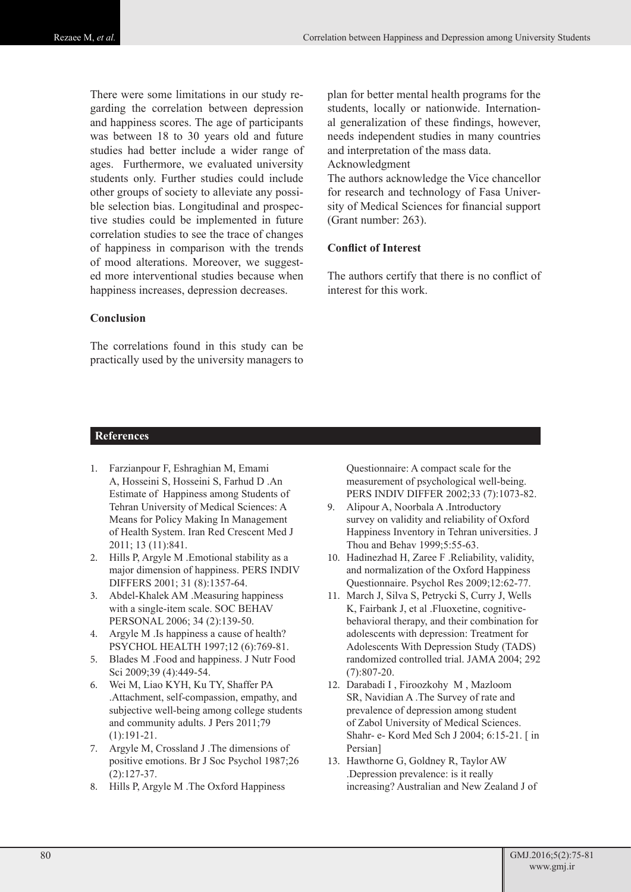There were some limitations in our study regarding the correlation between depression and happiness scores. The age of participants was between 18 to 30 years old and future studies had better include a wider range of ages. Furthermore, we evaluated university students only. Further studies could include other groups of society to alleviate any possible selection bias. Longitudinal and prospective studies could be implemented in future correlation studies to see the trace of changes of happiness in comparison with the trends of mood alterations. Moreover, we suggested more interventional studies because when happiness increases, depression decreases.

## **Conclusion**

The correlations found in this study can be practically used by the university managers to plan for better mental health programs for the students, locally or nationwide. International generalization of these findings, however, needs independent studies in many countries and interpretation of the mass data.

## Acknowledgment

The authors acknowledge the Vice chancellor for research and technology of Fasa University of Medical Sciences for financial support (Grant number: 263).

## **Conflict of Interest**

The authors certify that there is no conflict of interest for this work.

## **References**

- 1. Farzianpour F, Eshraghian M, Emami A, Hosseini S, Hosseini S, Farhud D .An Estimate of Happiness among Students of Tehran University of Medical Sciences: A Means for Policy Making In Management of Health System. [Iran Red Crescent Med J](http://www.ncbi.nlm.nih.gov/pubmed/?term=An+Estimate+of+Happiness+among+Students+of+Tehran+University+of+Medical+Sciences%3A+A+Means+for+Policy+Making+In+Management+of+Health+System) 2011; 13 (11):841.
- 2. Hills P, Argyle M .Emotional stability as a major dimension of happiness. PERS INDIV DIFFERS 2001; 31 (8):1357-64.
- 3. Abdel-Khalek AM .Measuring happiness with a single-item scale. SOC BEHAV PERSONAL 2006; 34 (2):139-50.
- 4. Argyle M .Is happiness a cause of health? PSYCHOL HEALTH 1997;12 (6):769-81.
- 5. Blades M .Food and happiness. [J Nutr Food](http://www.omicsonline.org/jnfshome.php)  [Sci](http://www.omicsonline.org/jnfshome.php) 2009;39 (4):449-54.
- 6. Wei M, Liao KYH, Ku TY, Shaffer PA .Attachment, self-compassion, empathy, and subjective well-being among college students and community adults. J Pers 2011;79 (1):191-21.
- 7. Argyle M, Crossland J .The dimensions of positive emotions. Br J Soc Psychol 1987;26 (2):127-37.
- 8. Hills P, Argyle M .The Oxford Happiness

Questionnaire: A compact scale for the measurement of psychological well-being. PERS INDIV DIFFER 2002;33 (7):1073-82.

- 9. Alipour A, Noorbala A .Introductory survey on validity and reliability of Oxford Happiness Inventory in Tehran universities. J Thou and Behav 1999;5:55-63.
- 10. Hadinezhad H, Zaree F .Reliability, validity, and normalization of the Oxford Happiness Questionnaire. Psychol Res 2009;12:62-77.
- 11. March J, Silva S, Petrycki S, Curry J, Wells K, Fairbank J, et al .Fluoxetine, cognitivebehavioral therapy, and their combination for adolescents with depression: Treatment for Adolescents With Depression Study (TADS) randomized controlled trial. JAMA 2004; 292 (7):807-20.
- 12. Darabadi I , Firoozkohy M , Mazloom SR, Navidian A .The Survey of rate and prevalence of depression among student of Zabol University of Medical Sciences. Shahr- e- Kord Med Sch J 2004; 6:15-21. [ in Persian]
- 13. Hawthorne G, Goldney R, Taylor AW .Depression prevalence: is it really increasing? Australian and New Zealand J of